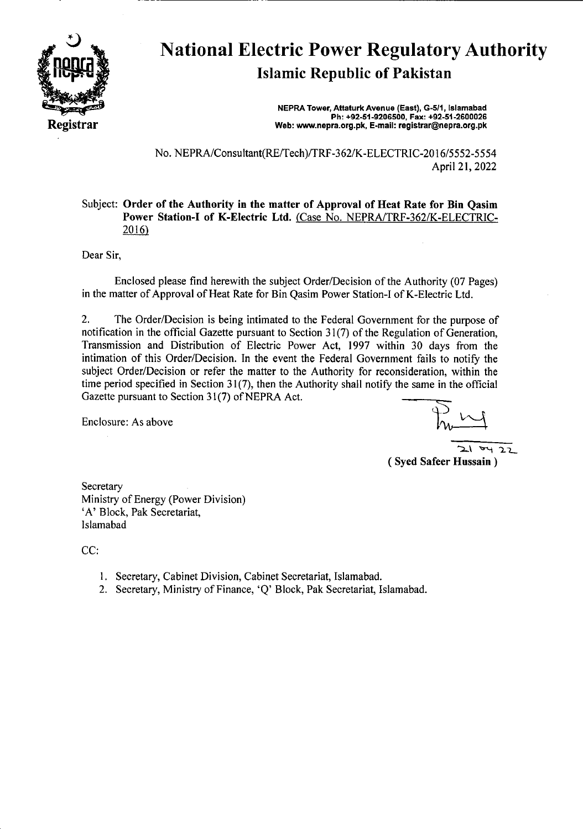

# National Electric Power Regulatory Authority Islamic Republic of Pakistan

**NEPRA Tower, Attaturk Avenue (East), G-511, Islamabad Ph: +92-51-9206500. Fax: +92-51-2600026 Web: www.nepra.org.pk, E-mail: registrar@nepra.org.pk** 

No. NEPRA/Consultant(RE/Tech)/TRF-362/K-ELECTRJC-20 16/5552-5554 April 21, 2022

## Subject: **Order of the Authority in the matter of Approval of Heat Rate for Bin Qasim Power Station**-I **of K-Electric Ltd.** (Case No. NEPRA/TRF-362/K-ELECTRIC-2016)

Dear Sir,

Enclosed please find herewith the subject Order/Decision of the Authority (07 Pages) in the matter of Approval of Heat Rate for Bin Qasim Power Station-I of K-Electric Ltd.

2. The Order/Decision is being intimated to the Federal Government for the purpose of notification in the official Gazette pursuant to Section 31(7) of the Regulation of Generation, Transmission and Distribution of Electric Power Act, 1997 within 30 days from the intimation of this Order/Decision. In the event the Federal Government fails to notify the subject Order/Decision or refer the matter to the Authority for reconsideration, within the time period specified in Section  $31(7)$ , then the Authority shall notify the same in the official Gazette pursuant to Section 31(7) of NEPRA Act.

Enclosure: As above

 $21 - 22$ (Syed Safeer **Hussain)** 

**Secretary** Ministry of Energy (Power Division) 'A' Block, Pak Secretariat, Islamabad

CC:

- 1. Secretary, Cabinet Division, Cabinet Secretariat, Islamabad.
- 2. Secretary, Ministry of Finance, 'Q' Block, Pak Secretariat, Islamabad.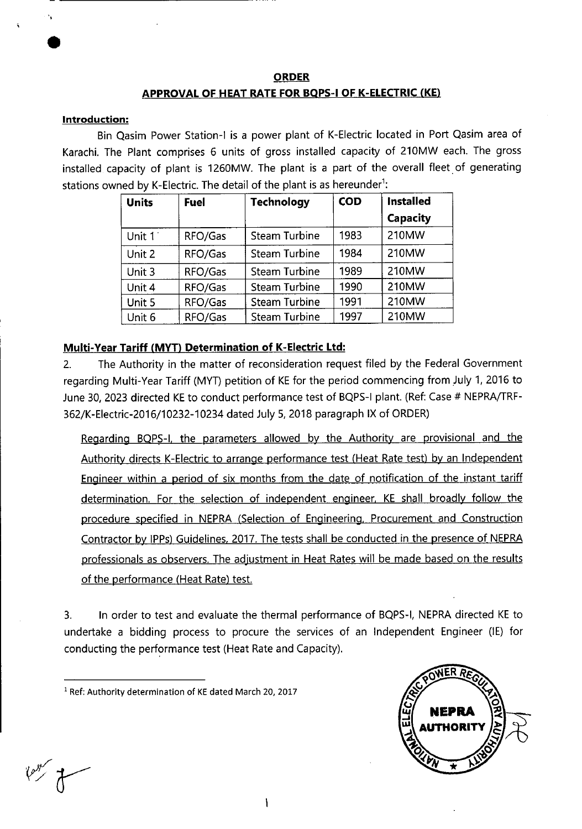#### **ORDER**

#### **APPROVAL OF HEAT RATE FOR BQPS**-1 **OF K-ELECTRIC (KE)**

#### **Introduction:**

Bin Qasim Power Station-I is a power plant of K-Electric located in Port Qasim area of Karachi. The Plant comprises 6 units of gross installed capacity of 210MW each. The gross installed capacity of plant is 1260MW. The plant is a part of the overall fleet of generating stations owned by K-Electric. The detail of the plant is as hereunder<sup>1</sup>:

| <b>Units</b> | <b>Fuel</b> | <b>Technology</b>    | <b>COD</b> | <b>Installed</b> |
|--------------|-------------|----------------------|------------|------------------|
|              |             |                      |            | Capacity         |
| Unit 1       | RFO/Gas     | <b>Steam Turbine</b> | 1983       | 210MW            |
| Unit 2       | RFO/Gas     | <b>Steam Turbine</b> | 1984       | 210MW            |
| Unit 3       | RFO/Gas     | Steam Turbine        | 1989       | 210MW            |
| Unit 4       | RFO/Gas     | <b>Steam Turbine</b> | 1990       | 210MW            |
| Unit 5       | RFO/Gas     | <b>Steam Turbine</b> | 1991       | 210MW            |
| Unit 6       | RFO/Gas     | Steam Turbine        | 1997       | 210MW            |

## **Multi-Year Tariff (MYT) Determination of K-Electric Ltd:**

2. The Authority in the matter of reconsideration request filed by the Federal Government regarding Multi-Year Tariff (MYT) petition of KE for the period commencing from July 1, 2016 to June 30, 2023 directed KE to conduct performance test of BQPS-1 plant. (Ref: Case # NEPRA/TRF-362/K-Electric-2016/10232-10234 dated July 5,2018 paragraph IX of ORDER)

Regarding BOPS-l. the parameters allowed by the Authority are provisional and the Authority directs K-Electric to arrange performance test (Heat Rate test) by an Independent Engineer within a period of six months from the date of notification of the instant tariff determination. For the selection of independent engineer. KE shall broadly follow the procedure specified in NEPRA (Selection of Engineering, Procurement and Construction Contractor by lPPs) Guidelines, 2017. The tests shall be conducted in the presence of NEPRA professionals as observers. The adjustment in Heat Rates will be made based on the results of the performance (Heat Rate) test.

3. In order to test and evaluate the thermal performance of BQPS-I, NEPRA directed KE to undertake a bidding process to procure the services of an Independent Engineer (IE) for conducting the performance test (Heat Rate and Capacity).

<sup>1</sup> Ref: Authority determination of KE dated March 20, 2017



 $\mathcal{P}^{\mathcal{P}'}$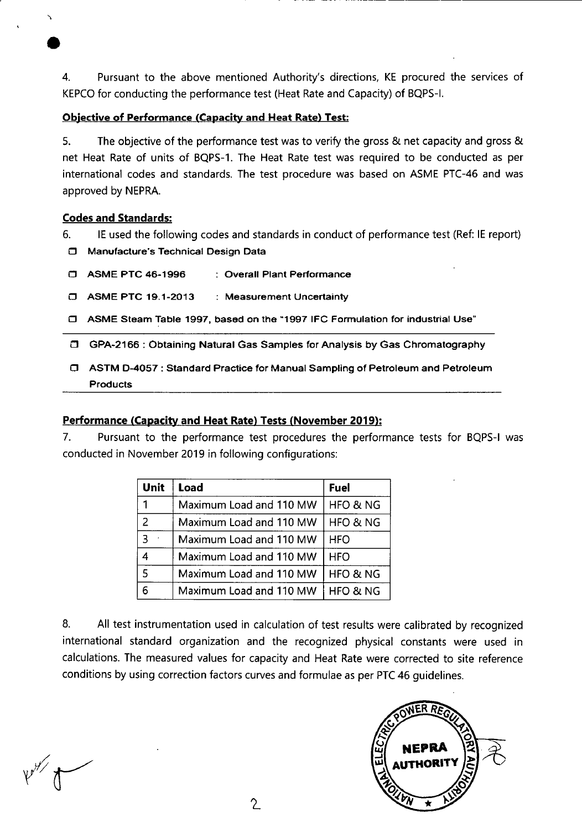4. Pursuant to the above mentioned Authority's directions, KE procured the services of KEPCO for conducting the performance test (Heat Rate and Capacity) of BQPS-I.

#### **Objective of Performance (Capacity and Heat Rate) Test:**

5. The objective of the performance test was to verify the gross & net capacity and gross & net Heat Rate of units of BQPS-1. The Heat Rate test was required to be conducted as per international codes and standards. The test procedure was based on ASME PTC-46 and was approved by NEPRA.

## **Codes and Standards:**

6. IE used the following codes and standards in conduct of performance test (Ref: IE report)

O Manufacture's Technical Design Data

| <b>C ASME PTC 46-1996</b> | : Overall Plant Performance |
|---------------------------|-----------------------------|
|---------------------------|-----------------------------|

- o ASME PTC 19.1-2013 : Measurement Uncertainty
- 0 ASME Steam Table 1997, based on the 1997 IFC Formulation for industrial Use"

0 GPA-21 66 : Obtaining Natural Gas Samples for Analysis by Gas Chromatography

O ASTM 0-4057: Standard Practice for Manual Sampling of Petroleum and Petroleum **Products** 

## **Performance (Capacity and Heat Rate) Tests (November 2019):**

7. Pursuant to the performance test procedures the performance tests for BQPS-1 was conducted in November 2019 in following configurations:

| Unit          | Load                    | Fuel                |
|---------------|-------------------------|---------------------|
|               | Maximum Load and 110 MW | HFO & NG            |
| $\mathcal{P}$ | Maximum Load and 110 MW | HFO & NG            |
|               | Maximum Load and 110 MW | <b>HFO</b>          |
|               | Maximum Load and 110 MW | <b>HFO</b>          |
| 5             | Maximum Load and 110 MW | <b>HFO &amp; NG</b> |
|               | Maximum Load and 110 MW | <b>HFO &amp; NG</b> |

8. All test instrumentation used in calculation of test results were calibrated by recognized international standard organization and the recognized physical constants were used in calculations. The measured values for capacity and Heat Rate were corrected to site reference conditions by using correction factors curves and formulae as per PTC 46 guidelines.

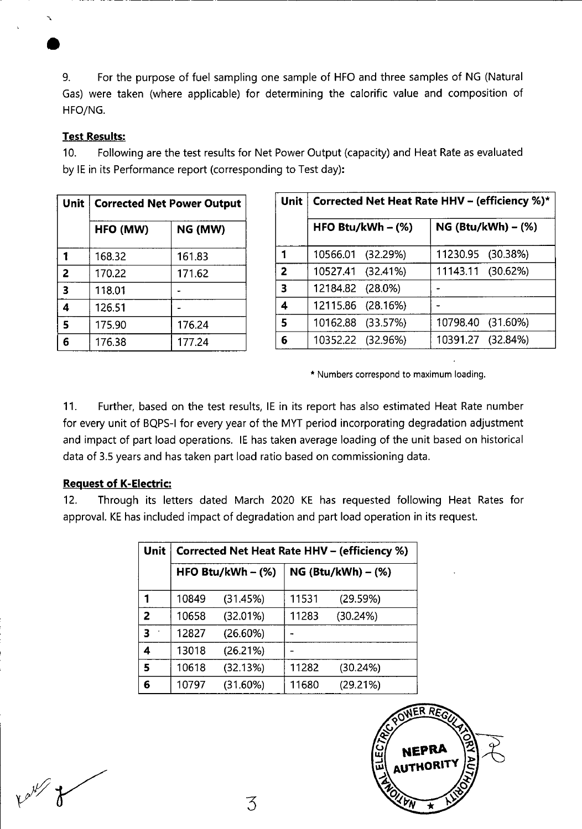9. For the purpose of fuel sampling one sample of HFO and three samples of NG (Natural Gas) were taken (where applicable) for determining the calorific value and composition of HFO/NG.

#### **Test Results:**

10. Following are the test results for Net Power Output (capacity) and Heat Rate as evaluated by lE in its Performance report (corresponding to Test day):

| Unit                    | <b>Corrected Net Power Output</b> |         |  |  |  |  |  |  |  |
|-------------------------|-----------------------------------|---------|--|--|--|--|--|--|--|
|                         | HFO (MW)                          | NG (MW) |  |  |  |  |  |  |  |
|                         | 168.32                            | 161.83  |  |  |  |  |  |  |  |
| $\overline{2}$          | 170.22                            | 171.62  |  |  |  |  |  |  |  |
| $\overline{\mathbf{3}}$ | 118.01                            |         |  |  |  |  |  |  |  |
| 4                       | 126.51                            |         |  |  |  |  |  |  |  |
| 5                       | 175.90                            | 176.24  |  |  |  |  |  |  |  |
|                         | 176.38                            | 177.24  |  |  |  |  |  |  |  |

| <b>Unit</b>             | Corrected Net Heat Rate HHV - (efficiency %)* |  |                   |                      |  |  |  |  |  |  |  |
|-------------------------|-----------------------------------------------|--|-------------------|----------------------|--|--|--|--|--|--|--|
|                         | HFO Btu/kWh $-$ (%)                           |  |                   | $NG (Btu/kWh) - (*)$ |  |  |  |  |  |  |  |
| 1                       | 10566.01 (32.29%)                             |  | 11230.95 (30.38%) |                      |  |  |  |  |  |  |  |
| $\overline{2}$          | 10527.41 (32.41%)                             |  | 11143.11 (30.62%) |                      |  |  |  |  |  |  |  |
| $\overline{\mathbf{3}}$ | 12184.82 (28.0%)                              |  |                   |                      |  |  |  |  |  |  |  |
| 4                       | 12115.86 (28.16%)                             |  |                   |                      |  |  |  |  |  |  |  |
| 5                       | 10162.88 (33.57%)                             |  | 10798.40 (31.60%) |                      |  |  |  |  |  |  |  |
| 6                       | 10352.22 (32.96%)                             |  | 10391.27 (32.84%) |                      |  |  |  |  |  |  |  |

\* Numbers correspond to maximum loading.

11. Further, based on the test results, lE in its report has also estimated Heat Rate number for every unit of BQPS-I for every year of the MYT period incorporating degradation adjustment and impact of part load operations. lE has taken average loading of the unit based on historical data of 3.5 years and has taken part load ratio based on commissioning data.

#### **Request of K-Electric:**

12. Through its letters dated March 2020 KE has requested following Heat Rates for approval. KE has included impact of degradation and part load operation in its request.

| Unit                    | <b>Corrected Net Heat Rate HHV - (efficiency %)</b> |                     |       |                      |  |  |  |  |  |  |
|-------------------------|-----------------------------------------------------|---------------------|-------|----------------------|--|--|--|--|--|--|
|                         |                                                     | HFO Btu/kWh $-$ (%) |       | NG (Btu/kWh) $-$ (%) |  |  |  |  |  |  |
| 1                       | 10849                                               | (31.45%)            | 11531 | (29.59%)             |  |  |  |  |  |  |
| $\overline{2}$          | 10658                                               | (32.01%)            | 11283 | (30.24%)             |  |  |  |  |  |  |
| $\overline{\mathbf{3}}$ | 12827                                               | (26.60%)            |       |                      |  |  |  |  |  |  |
| 4                       | 13018                                               | (26.21%)            |       |                      |  |  |  |  |  |  |
| 5                       | 10618                                               | (32.13%)            | 11282 | (30.24%)             |  |  |  |  |  |  |
| 6                       | 10797                                               | (31.60%)            | 11680 | (29.21%)             |  |  |  |  |  |  |

3

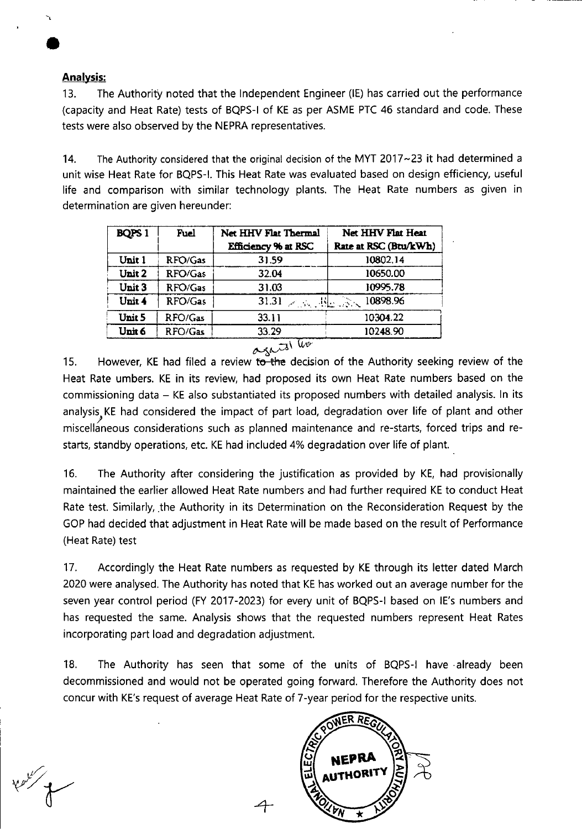# **Analysis:**

13. The Authority noted that the Independent Engineer (IE) has carried out the performance (capacity and Heat Rate) tests of BQPS-I of KE as per ASME PTC 46 standard and code. These tests were also observed by the NEPRA representatives.

14. The Authority considered that the original decision of the MYT 2017~23 it had determined a unit wise Heat Rate for BQPS-l. This Heat Rate was evaluated based on design efficiency, useful life and comparison with similar technology plants. The Heat Rate numbers as given in determination are given hereunder:

|         | <b>Net HHV Flat Thermal</b><br><b>Efficiency % at RSC</b> | Net HHV Flat Heat<br>Rate at RSC (Btu/kWh) |  |  |  |
|---------|-----------------------------------------------------------|--------------------------------------------|--|--|--|
| RFO/Gas | 31.59                                                     | 10802.14                                   |  |  |  |
| RFO/Gas | 32.04                                                     | 10650.00                                   |  |  |  |
| RFO/Gas | 31.03                                                     | 10995.78                                   |  |  |  |
| RFO/Gas | 31.31                                                     | 10898.96                                   |  |  |  |
| RFO/Gas | 33.11                                                     | 10304.22                                   |  |  |  |
| RFO/Gas | 33.29                                                     | 10248.90                                   |  |  |  |
|         |                                                           | the Books<br>V€                            |  |  |  |

agais' 15. However, KE had filed a review to the decision of the Authority seeking review of the Heat Rate umbers. KE in its review, had proposed its own Heat Rate numbers based on the commissioning data — KE also substantiated its proposed numbers with detailed analysis. In its analysis KE had considered the impact of part load, degradation over life of plant and other<br>miscellaneous considerations such as planned maintenance and re-starts forced trips and remiscellaneous considerations such as planned maintenance and re-starts, forced trips and restarts, standby operations, etc. KE had included 4% degradation over life of plant.

16. The Authority after considering the justification as provided by KE, had provisionally maintained the earlier allowed Heat Rate numbers and had further required KE to conduct Heat Rate test. Similarly, the Authority in its Determination on the Reconsideration Request by the GOP had decided that adjustment in Heat Rate will be made based on the result of Performance (Heat Rate) test

17. Accordingly the Heat Rate numbers as requested by KE through its letter dated March 2020 were analysed. The Authority has noted that KE has worked out an average number for the seven year control period (FY 2017-2023) for every unit of BQPS-1 based on lE's numbers and has requested the same. Analysis shows that the requested numbers represent Heat Rates incorporating part load and degradation adjustment.

18. The Authority has seen that some of the units of BQPS-1 have already been decommissioned and would not be operated going forward. Therefore the Authority does not concur with KE's request of average Heat Rate of 7-year period for the respective units.

HORIT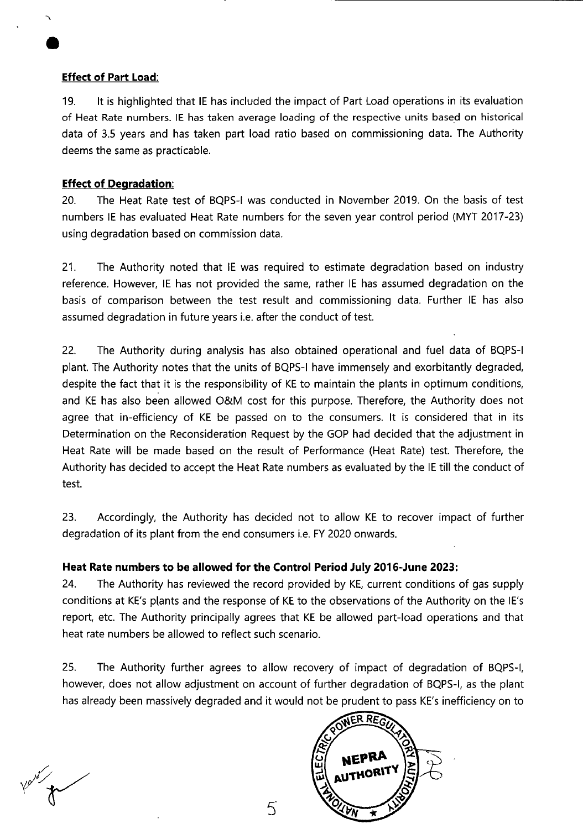#### **Effect of Part Load:**

19. It is highlighted that lE has included the impact of Part Load operations in its evaluation of Heat Rate numbers. IE has taken average loading of the respective units based on historical data of 3.5 years and has taken part load ratio based on commissioning data. The Authority deems the same as practicable.

## **Effect of Degradation:**

20. The Heat Rate test of BQPS-1 was conducted in November 2019. On the basis of test numbers lE has evaluated Heat Rate numbers for the seven year control period (MYT 2017-23) using degradation based on commission data.

21. The Authority noted that lE was required to estimate degradation based on industry reference. However, lE has not provided the same, rather IE has assumed degradation on the basis of comparison between the test result and commissioning data. Further IE has also assumed degradation in future years i.e. after the conduct of test.

22. The Authority during analysis has also obtained operational and fuel data of BQPS-1 plant. The Authority notes that the units of BQPS-1 have immensely and exorbitantly degraded, despite the fact that it is the responsibility of KE to maintain the plants in optimum conditions, and KE has also been allowed O&M cost for this purpose. Therefore, the Authority does not agree that in-efficiency of KE be passed on to the consumers. It is considered that in its Determination on the Reconsideration Request by the GOP had decided that the adjustment in Heat Rate will be made based on the result of Performance (Heat Rate) test. Therefore, the Authority has decided to accept the Heat Rate numbers as evaluated by the IE till the conduct of test.

23. Accordingly, the Authority has decided not to allow KE to recover impact of further degradation of its plant from the end consumers i.e. FY 2020 onwards.

## **Heat Rate numbers to be allowed for the Control Period July 2016-June 2023:**

24. The Authority has reviewed the record provided by KE, current conditions of gas supply conditions at KE's plants and the response of KE to the observations of the Authority on the lE's report, etc. The Authority principally agrees that KE be allowed part-load operations and that heat rate numbers be allowed to reflect such scenario.

25. The Authority further agrees to allow recovery of impact of degradation of BQPS-1, however, does not allow adjustment on account of further degradation of BQPS-I, as the plant has already been massively degraded and it would not be prudent to pass KE's inefficiency on to

ER REG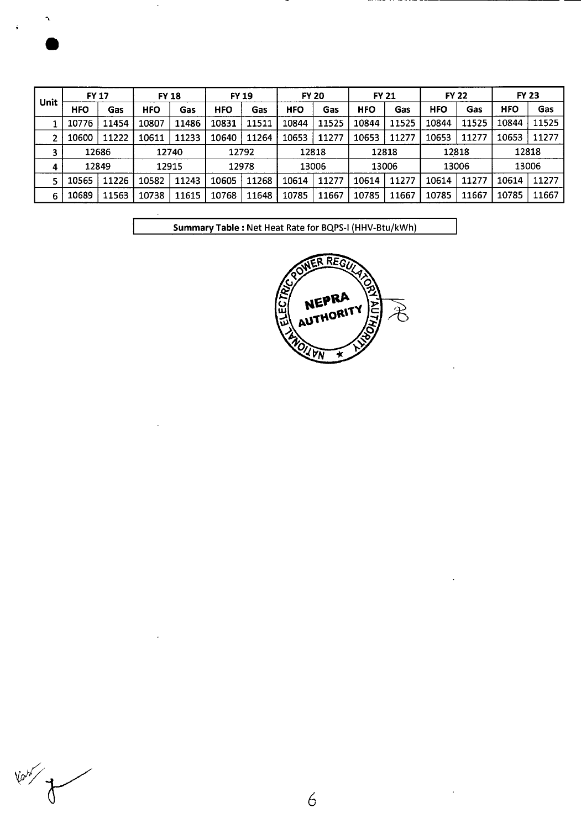$\boldsymbol{\gamma}$ 

| Unit | <b>FY 17</b> |       | <b>FY 18</b> |       | <b>FY 19</b> |       |            | <b>FY 20</b> |            | <b>FY 21</b> |            | <b>FY 22</b> |            | <b>FY 23</b> |  |
|------|--------------|-------|--------------|-------|--------------|-------|------------|--------------|------------|--------------|------------|--------------|------------|--------------|--|
|      | <b>HFO</b>   | Gas   | HFO          | Gas   | <b>HFO</b>   | Gas   | <b>HFO</b> | Gas          | <b>HFO</b> | Gas          | <b>HFO</b> | Gas          | <b>HFO</b> | Gas          |  |
|      | 10776        | 11454 | 10807        | 11486 | 10831        | 11511 | 10844      | 11525        | 10844      | 11525        | 10844      | 11525        | 10844      | 11525        |  |
|      | 10600        | 11222 | 10611        | 11233 | 10640        | 11264 | 10653      | 11277        | 10653      | 11277        | 10653      | 11277        | 10653      | 11277        |  |
|      | 12686        |       |              | 12740 | 12792        |       | 12818      |              | 12818      |              | 12818      |              | 12818      |              |  |
| 4    | 12849        |       |              | 12915 |              | 12978 |            | 13006        | 13006      |              |            | 13006        |            | 13006        |  |
|      | 10565        | 11226 | 10582        | 11243 | 10605        | 11268 | 10614      | 11277        | 10614      | 11277        | 10614      | 11277        | 10614      | 11277        |  |
| 6    | 10689        | 11563 | 10738        | 11615 | 10768        | 11648 | 10785      | 11667        | 10785      | 11667        | 10785      | 11667        | 10785      | 11667        |  |

Summary Table: Net Heat Rate for BQPS-1 (HHV-Btu/kWh)



**Your of the Canal Street**